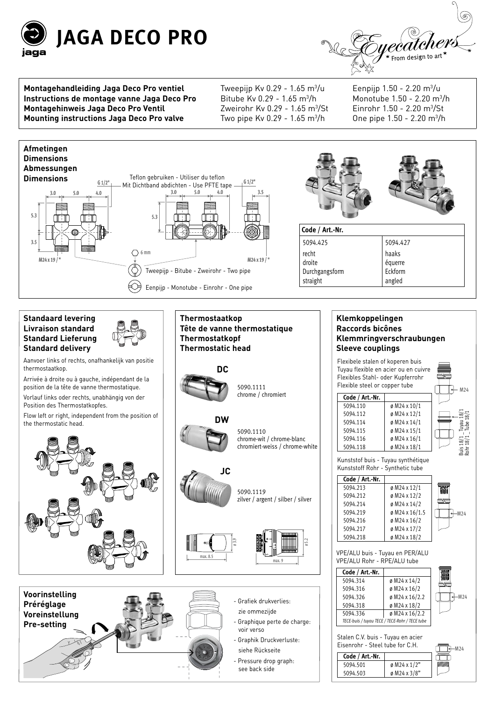



**Montagehandleiding Jaga Deco Pro ventiel Instructions de montage vanne Jaga Deco Pro Montagehinweis Jaga Deco Pro Ventil Mounting instructions Jaga Deco Pro valve**

Tweepijp Kv 0.29 - 1.65 m<sup>3</sup>/u Bitube Kv 0.29 - 1.65 m $\frac{3}{h}$ Zweirohr Kv 0.29 - 1.65 m<sup>3</sup>/St Two pipe Kv 0.29 - 1.65 m<sup>3</sup>/h

Eenpijp 1.50 - 2.20 m<sup>3</sup>/u Monotube 1.50 - 2.20 m3 /h Einrohr 1.50 - 2.20 m3 /St 0ne pipe 1.50 - 2.20 m<sup>3</sup>/h

Buis 18/1 \_ Tuyau 18/1 Rohr 18/1 \_ Tube 18/1

 $M24$ 

 $M24$ 

 $-M24$ 

5094.503 ø M24 x 3/8"





see back side